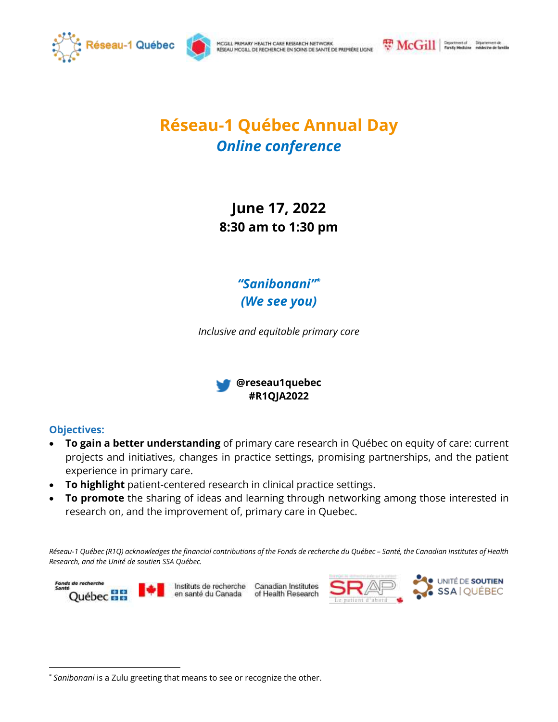

MCGILL PRIMARY HEALTH CARE RESEARCH NETWORK RÉSEAU MCGILL DE RECHERCHE EN SOINS DE SANTÉ DE PREMIÈRE LIGNE McGill | Fundy Modeline midscare de familie

## **Réseau-1 Québec Annual Day** *Online conference*

**June 17, 2022 8:30 am to 1:30 pm**

> *"Sanibonani" \* (We see you)*

*Inclusive and equitable primary care*



## **Objectives:**

 $\overline{a}$ 

- **To gain a better understanding** of primary care research in Québec on equity of care: current projects and initiatives, changes in practice settings, promising partnerships, and the patient experience in primary care.
- **To highlight** patient-centered research in clinical practice settings.
- **To promote** the sharing of ideas and learning through networking among those interested in research on, and the improvement of, primary care in Quebec.

*Réseau-1 Québec (R1Q) acknowledges the financial contributions of the Fonds de recherche du Québec – Santé, the Canadian Institutes of Health Research, and the Unité de soutien SSA Québec.*



Canadian Institutes of Health Research



<sup>\*</sup> *Sanibonani* is a Zulu greeting that means to see or recognize the other.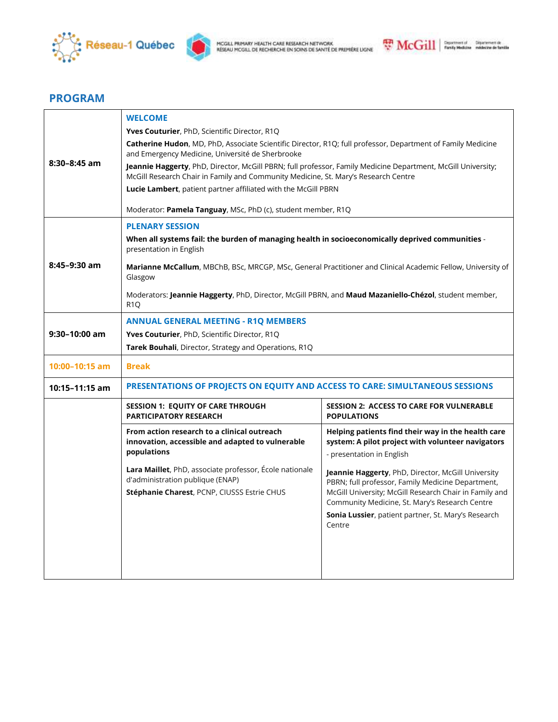



## **PROGRAM**

| $8:30 - 8:45$ am   | <b>WELCOME</b><br>Yves Couturier, PhD, Scientific Director, R1Q<br>Catherine Hudon, MD, PhD, Associate Scientific Director, R1Q; full professor, Department of Family Medicine<br>and Emergency Medicine, Université de Sherbrooke<br>Jeannie Haggerty, PhD, Director, McGill PBRN; full professor, Family Medicine Department, McGill University;<br>McGill Research Chair in Family and Community Medicine, St. Mary's Research Centre<br>Lucie Lambert, patient partner affiliated with the McGill PBRN<br>Moderator: Pamela Tanguay, MSc, PhD (c), student member, R1Q |                                                                                                                                                                                                                                                                                                                                                                                                                              |  |
|--------------------|----------------------------------------------------------------------------------------------------------------------------------------------------------------------------------------------------------------------------------------------------------------------------------------------------------------------------------------------------------------------------------------------------------------------------------------------------------------------------------------------------------------------------------------------------------------------------|------------------------------------------------------------------------------------------------------------------------------------------------------------------------------------------------------------------------------------------------------------------------------------------------------------------------------------------------------------------------------------------------------------------------------|--|
| $8:45-9:30$ am     | <b>PLENARY SESSION</b><br>When all systems fail: the burden of managing health in socioeconomically deprived communities -<br>presentation in English<br>Marianne McCallum, MBChB, BSc, MRCGP, MSc, General Practitioner and Clinical Academic Fellow, University of<br>Glasgow<br>Moderators: Jeannie Haggerty, PhD, Director, McGill PBRN, and Maud Mazaniello-Chézol, student member,<br>R <sub>1</sub> Q                                                                                                                                                               |                                                                                                                                                                                                                                                                                                                                                                                                                              |  |
| $9:30-10:00$ am    | <b>ANNUAL GENERAL MEETING - R1Q MEMBERS</b><br>Yves Couturier, PhD, Scientific Director, R1Q<br>Tarek Bouhali, Director, Strategy and Operations, R1Q                                                                                                                                                                                                                                                                                                                                                                                                                      |                                                                                                                                                                                                                                                                                                                                                                                                                              |  |
| $10:00 - 10:15$ am | <b>Break</b>                                                                                                                                                                                                                                                                                                                                                                                                                                                                                                                                                               |                                                                                                                                                                                                                                                                                                                                                                                                                              |  |
| 10:15-11:15 am     | PRESENTATIONS OF PROJECTS ON EQUITY AND ACCESS TO CARE: SIMULTANEOUS SESSIONS                                                                                                                                                                                                                                                                                                                                                                                                                                                                                              |                                                                                                                                                                                                                                                                                                                                                                                                                              |  |
|                    | <b>SESSION 1: EQUITY OF CARE THROUGH</b><br><b>PARTICIPATORY RESEARCH</b>                                                                                                                                                                                                                                                                                                                                                                                                                                                                                                  | <b>SESSION 2: ACCESS TO CARE FOR VULNERABLE</b><br><b>POPULATIONS</b>                                                                                                                                                                                                                                                                                                                                                        |  |
|                    | From action research to a clinical outreach<br>innovation, accessible and adapted to vulnerable<br>populations<br>Lara Maillet, PhD, associate professor, École nationale<br>d'administration publique (ENAP)<br>Stéphanie Charest, PCNP, CIUSSS Estrie CHUS                                                                                                                                                                                                                                                                                                               | Helping patients find their way in the health care<br>system: A pilot project with volunteer navigators<br>- presentation in English<br>Jeannie Haggerty, PhD, Director, McGill University<br>PBRN; full professor, Family Medicine Department,<br>McGill University; McGill Research Chair in Family and<br>Community Medicine, St. Mary's Research Centre<br>Sonia Lussier, patient partner, St. Mary's Research<br>Centre |  |